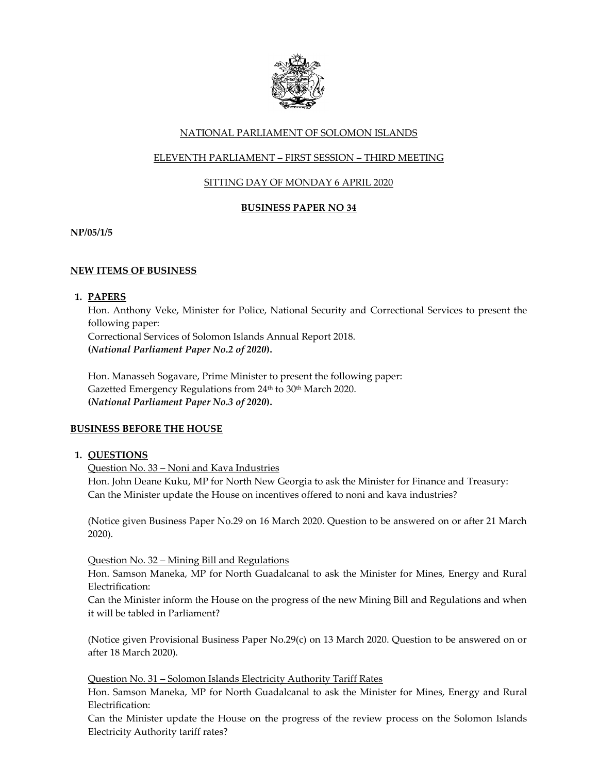

# NATIONAL PARLIAMENT OF SOLOMON ISLANDS

# ELEVENTH PARLIAMENT – FIRST SESSION – THIRD MEETING

# SITTING DAY OF MONDAY 6 APRIL 2020

# **BUSINESS PAPER NO 34**

**NP/05/1/5**

# **NEW ITEMS OF BUSINESS**

## **1. PAPERS**

Hon. Anthony Veke, Minister for Police, National Security and Correctional Services to present the following paper: Correctional Services of Solomon Islands Annual Report 2018.

**(***National Parliament Paper No.2 of 2020***).** 

Hon. Manasseh Sogavare, Prime Minister to present the following paper: Gazetted Emergency Regulations from 24<sup>th</sup> to 30<sup>th</sup> March 2020. **(***National Parliament Paper No.3 of 2020***).**

# **BUSINESS BEFORE THE HOUSE**

## **1. QUESTIONS**

Question No. 33 – Noni and Kava Industries

Hon. John Deane Kuku, MP for North New Georgia to ask the Minister for Finance and Treasury: Can the Minister update the House on incentives offered to noni and kava industries?

(Notice given Business Paper No.29 on 16 March 2020. Question to be answered on or after 21 March 2020).

## Question No. 32 – Mining Bill and Regulations

Hon. Samson Maneka, MP for North Guadalcanal to ask the Minister for Mines, Energy and Rural Electrification:

Can the Minister inform the House on the progress of the new Mining Bill and Regulations and when it will be tabled in Parliament?

(Notice given Provisional Business Paper No.29(c) on 13 March 2020. Question to be answered on or after 18 March 2020).

## Question No. 31 – Solomon Islands Electricity Authority Tariff Rates

Hon. Samson Maneka, MP for North Guadalcanal to ask the Minister for Mines, Energy and Rural Electrification:

Can the Minister update the House on the progress of the review process on the Solomon Islands Electricity Authority tariff rates?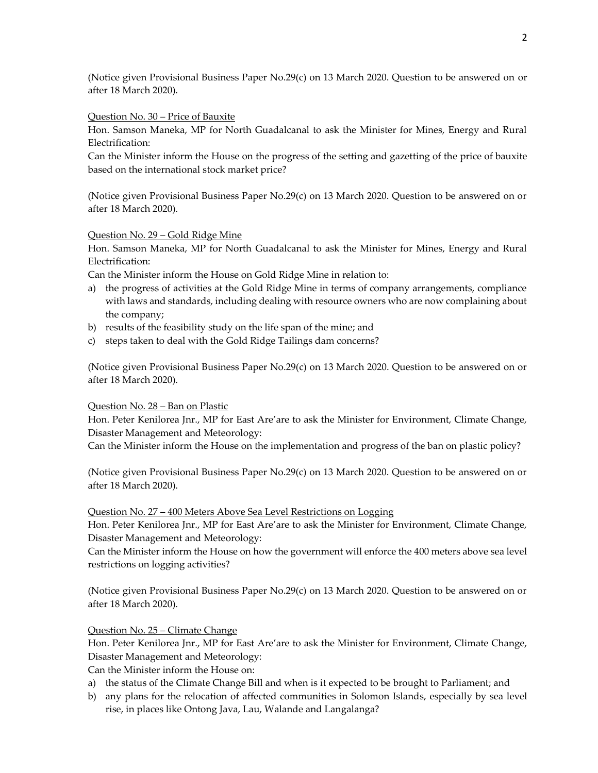(Notice given Provisional Business Paper No.29(c) on 13 March 2020. Question to be answered on or after 18 March 2020).

#### Question No. 30 – Price of Bauxite

Hon. Samson Maneka, MP for North Guadalcanal to ask the Minister for Mines, Energy and Rural Electrification:

Can the Minister inform the House on the progress of the setting and gazetting of the price of bauxite based on the international stock market price?

(Notice given Provisional Business Paper No.29(c) on 13 March 2020. Question to be answered on or after 18 March 2020).

### Question No. 29 – Gold Ridge Mine

Hon. Samson Maneka, MP for North Guadalcanal to ask the Minister for Mines, Energy and Rural Electrification:

Can the Minister inform the House on Gold Ridge Mine in relation to:

- a) the progress of activities at the Gold Ridge Mine in terms of company arrangements, compliance with laws and standards, including dealing with resource owners who are now complaining about the company;
- b) results of the feasibility study on the life span of the mine; and
- c) steps taken to deal with the Gold Ridge Tailings dam concerns?

(Notice given Provisional Business Paper No.29(c) on 13 March 2020. Question to be answered on or after 18 March 2020).

## Question No. 28 – Ban on Plastic

Hon. Peter Kenilorea Jnr., MP for East Are'are to ask the Minister for Environment, Climate Change, Disaster Management and Meteorology:

Can the Minister inform the House on the implementation and progress of the ban on plastic policy?

(Notice given Provisional Business Paper No.29(c) on 13 March 2020. Question to be answered on or after 18 March 2020).

#### Question No. 27 – 400 Meters Above Sea Level Restrictions on Logging

Hon. Peter Kenilorea Jnr., MP for East Are'are to ask the Minister for Environment, Climate Change, Disaster Management and Meteorology:

Can the Minister inform the House on how the government will enforce the 400 meters above sea level restrictions on logging activities?

(Notice given Provisional Business Paper No.29(c) on 13 March 2020. Question to be answered on or after 18 March 2020).

## Question No. 25 – Climate Change

Hon. Peter Kenilorea Jnr., MP for East Are'are to ask the Minister for Environment, Climate Change, Disaster Management and Meteorology:

Can the Minister inform the House on:

- a) the status of the Climate Change Bill and when is it expected to be brought to Parliament; and
- b) any plans for the relocation of affected communities in Solomon Islands, especially by sea level rise, in places like Ontong Java, Lau, Walande and Langalanga?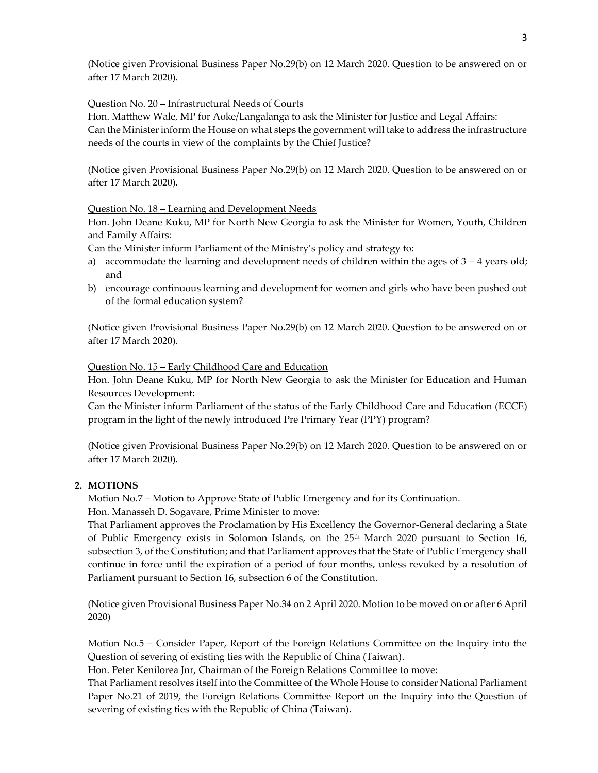(Notice given Provisional Business Paper No.29(b) on 12 March 2020. Question to be answered on or after 17 March 2020).

## Question No. 20 – Infrastructural Needs of Courts

Hon. Matthew Wale, MP for Aoke/Langalanga to ask the Minister for Justice and Legal Affairs: Can the Minister inform the House on what steps the government will take to address the infrastructure needs of the courts in view of the complaints by the Chief Justice?

(Notice given Provisional Business Paper No.29(b) on 12 March 2020. Question to be answered on or after 17 March 2020).

## Question No. 18 – Learning and Development Needs

Hon. John Deane Kuku, MP for North New Georgia to ask the Minister for Women, Youth, Children and Family Affairs:

Can the Minister inform Parliament of the Ministry's policy and strategy to:

- a) accommodate the learning and development needs of children within the ages of  $3 4$  years old; and
- b) encourage continuous learning and development for women and girls who have been pushed out of the formal education system?

(Notice given Provisional Business Paper No.29(b) on 12 March 2020. Question to be answered on or after 17 March 2020).

Question No. 15 – Early Childhood Care and Education

Hon. John Deane Kuku, MP for North New Georgia to ask the Minister for Education and Human Resources Development:

Can the Minister inform Parliament of the status of the Early Childhood Care and Education (ECCE) program in the light of the newly introduced Pre Primary Year (PPY) program?

(Notice given Provisional Business Paper No.29(b) on 12 March 2020. Question to be answered on or after 17 March 2020).

# **2. MOTIONS**

Motion No.7 – Motion to Approve State of Public Emergency and for its Continuation. Hon. Manasseh D. Sogavare, Prime Minister to move:

That Parliament approves the Proclamation by His Excellency the Governor-General declaring a State of Public Emergency exists in Solomon Islands, on the 25th March 2020 pursuant to Section 16, subsection 3, of the Constitution; and that Parliament approves that the State of Public Emergency shall continue in force until the expiration of a period of four months, unless revoked by a resolution of Parliament pursuant to Section 16, subsection 6 of the Constitution.

(Notice given Provisional Business Paper No.34 on 2 April 2020. Motion to be moved on or after 6 April 2020)

Motion No.5 – Consider Paper, Report of the Foreign Relations Committee on the Inquiry into the Question of severing of existing ties with the Republic of China (Taiwan).

Hon. Peter Kenilorea Jnr, Chairman of the Foreign Relations Committee to move:

That Parliament resolves itself into the Committee of the Whole House to consider National Parliament Paper No.21 of 2019, the Foreign Relations Committee Report on the Inquiry into the Question of severing of existing ties with the Republic of China (Taiwan).